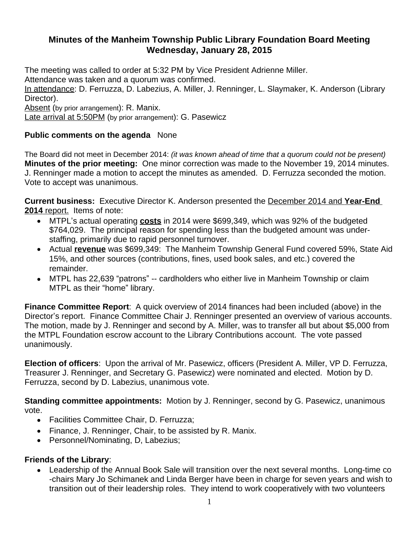## **Minutes of the Manheim Township Public Library Foundation Board Meeting Wednesday, January 28, 2015**

The meeting was called to order at 5:32 PM by Vice President Adrienne Miller.

Attendance was taken and a quorum was confirmed.

In attendance: D. Ferruzza, D. Labezius, A. Miller, J. Renninger, L. Slaymaker, K. Anderson (Library Director).

Absent (by prior arrangement): R. Manix.

Late arrival at 5:50PM (by prior arrangement): G. Pasewicz

## **Public comments on the agenda** None

The Board did not meet in December 2014: *(it was known ahead of time that a quorum could not be present)* **Minutes of the prior meeting:** One minor correction was made to the November 19, 2014 minutes. J. Renninger made a motion to accept the minutes as amended. D. Ferruzza seconded the motion. Vote to accept was unanimous.

**Current business:** Executive Director K. Anderson presented the December 2014 and **Year-End 2014** report. Items of note:

- MTPL's actual operating **costs** in 2014 were \$699,349, which was 92% of the budgeted \$764,029. The principal reason for spending less than the budgeted amount was understaffing, primarily due to rapid personnel turnover.
- Actual **revenue** was \$699,349: The Manheim Township General Fund covered 59%, State Aid 15%, and other sources (contributions, fines, used book sales, and etc.) covered the remainder.
- MTPL has 22,639 "patrons" -- cardholders who either live in Manheim Township or claim MTPL as their "home" library.

**Finance Committee Report**: A quick overview of 2014 finances had been included (above) in the Director's report. Finance Committee Chair J. Renninger presented an overview of various accounts. The motion, made by J. Renninger and second by A. Miller, was to transfer all but about \$5,000 from the MTPL Foundation escrow account to the Library Contributions account. The vote passed unanimously.

**Election of officers**: Upon the arrival of Mr. Pasewicz, officers (President A. Miller, VP D. Ferruzza, Treasurer J. Renninger, and Secretary G. Pasewicz) were nominated and elected. Motion by D. Ferruzza, second by D. Labezius, unanimous vote.

**Standing committee appointments:** Motion by J. Renninger, second by G. Pasewicz, unanimous vote.

- Facilities Committee Chair, D. Ferruzza;
- Finance, J. Renninger, Chair, to be assisted by R. Manix.
- Personnel/Nominating, D, Labezius;

## **Friends of the Library**:

 Leadership of the Annual Book Sale will transition over the next several months. Long-time co -chairs Mary Jo Schimanek and Linda Berger have been in charge for seven years and wish to transition out of their leadership roles. They intend to work cooperatively with two volunteers